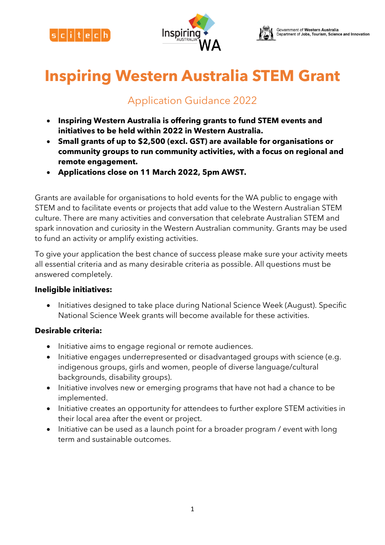





# **Inspiring Western Australia STEM Grant**

# Application Guidance 2022

- **Inspiring Western Australia is offering grants to fund STEM events and initiatives to be held within 2022 in Western Australia.**
- **Small grants of up to \$2,500 (excl. GST) are available for organisations or community groups to run community activities, with a focus on regional and remote engagement.**
- **Applications close on 11 March 2022, 5pm AWST.**

Grants are available for organisations to hold events for the WA public to engage with STEM and to facilitate events or projects that add value to the Western Australian STEM culture. There are many activities and conversation that celebrate Australian STEM and spark innovation and curiosity in the Western Australian community. Grants may be used to fund an activity or amplify existing activities.

To give your application the best chance of success please make sure your activity meets all essential criteria and as many desirable criteria as possible. All questions must be answered completely.

### **Ineligible initiatives:**

• Initiatives designed to take place during National Science Week (August). Specific National Science Week grants will become available for these activities.

# **Desirable criteria:**

- Initiative aims to engage regional or remote audiences.
- Initiative engages underrepresented or disadvantaged groups with science (e.g. indigenous groups, girls and women, people of diverse language/cultural backgrounds, disability groups).
- Initiative involves new or emerging programs that have not had a chance to be implemented.
- Initiative creates an opportunity for attendees to further explore STEM activities in their local area after the event or project.
- Initiative can be used as a launch point for a broader program / event with long term and sustainable outcomes.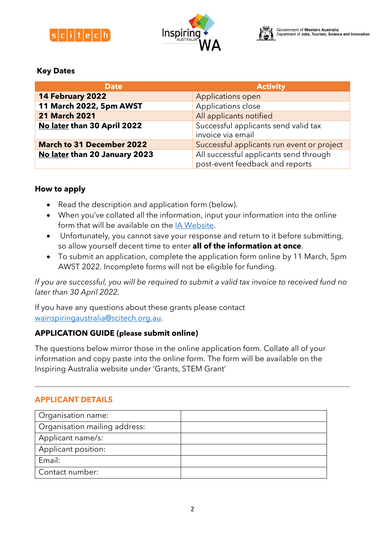





### **Key Dates**

| <b>Date</b>                      | <b>Activity</b>                                                           |  |
|----------------------------------|---------------------------------------------------------------------------|--|
| 14 February 2022                 | Applications open                                                         |  |
| 11 March 2022, 5pm AWST          | Applications close                                                        |  |
| <b>21 March 2021</b>             | All applicants notified                                                   |  |
| No later than 30 April 2022      | Successful applicants send valid tax<br>invoice via email                 |  |
| <b>March to 31 December 2022</b> | Successful applicants run event or project                                |  |
| No later than 20 January 2023    | All successful applicants send through<br>post-event feedback and reports |  |

# **How to apply**

- Read the description and application form (below).
- When you've collated all the information, input your information into the online form that will be available on the [IA Website.](https://www.inspiringwa.org.au/grants)
- Unfortunately, you cannot save your response and return to it before submitting, so allow yourself decent time to enter **all of the information at once**.
- To submit an application, complete the application form online by 11 March, 5pm AWST 2022. Incomplete forms will not be eligible for funding.

*If you are successful, you will be required to submit a valid tax invoice to received fund no later than 30 April 2022.*

If you have any questions about these grants please contact [wainspiringaustralia@scitech.org.au.](mailto:wainspiringaustralia@scitech.org.au)

# **APPLICATION GUIDE (please submit online)**

The questions below mirror those in the online application form. Collate all of your information and copy paste into the online form. The form will be available on the Inspiring Australia website under 'Grants, STEM Grant'

### **APPLICANT DETAILS**

| Organisation name:            |  |
|-------------------------------|--|
| Organisation mailing address: |  |
| Applicant name/s:             |  |
| Applicant position:           |  |
| Email:                        |  |
| Contact number:               |  |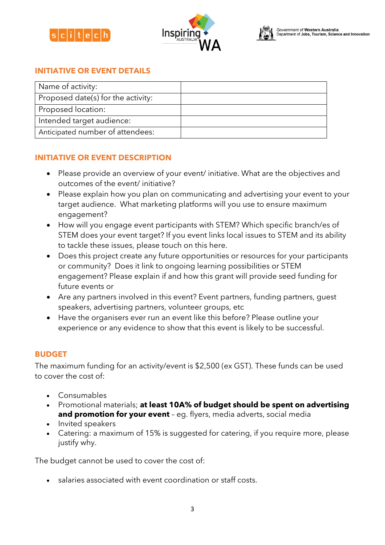





# **INITIATIVE OR EVENT DETAILS**

| Name of activity:                  |  |
|------------------------------------|--|
| Proposed date(s) for the activity: |  |
| Proposed location:                 |  |
| Intended target audience:          |  |
| Anticipated number of attendees:   |  |

### **INITIATIVE OR EVENT DESCRIPTION**

- Please provide an overview of your event/ initiative. What are the objectives and outcomes of the event/ initiative?
- Please explain how you plan on communicating and advertising your event to your target audience. What marketing platforms will you use to ensure maximum engagement?
- How will you engage event participants with STEM? Which specific branch/es of STEM does your event target? If you event links local issues to STEM and its ability to tackle these issues, please touch on this here.
- Does this project create any future opportunities or resources for your participants or community? Does it link to ongoing learning possibilities or STEM engagement? Please explain if and how this grant will provide seed funding for future events or
- Are any partners involved in this event? Event partners, funding partners, guest speakers, advertising partners, volunteer groups, etc
- Have the organisers ever run an event like this before? Please outline your experience or any evidence to show that this event is likely to be successful.

### **BUDGET**

The maximum funding for an activity/event is \$2,500 (ex GST). These funds can be used to cover the cost of:

- Consumables
- Promotional materials; **at least 10A% of budget should be spent on advertising and promotion for your event** – eg. flyers, media adverts, social media
- Invited speakers
- Catering: a maximum of 15% is suggested for catering, if you require more, please justify why.

The budget cannot be used to cover the cost of:

salaries associated with event coordination or staff costs.